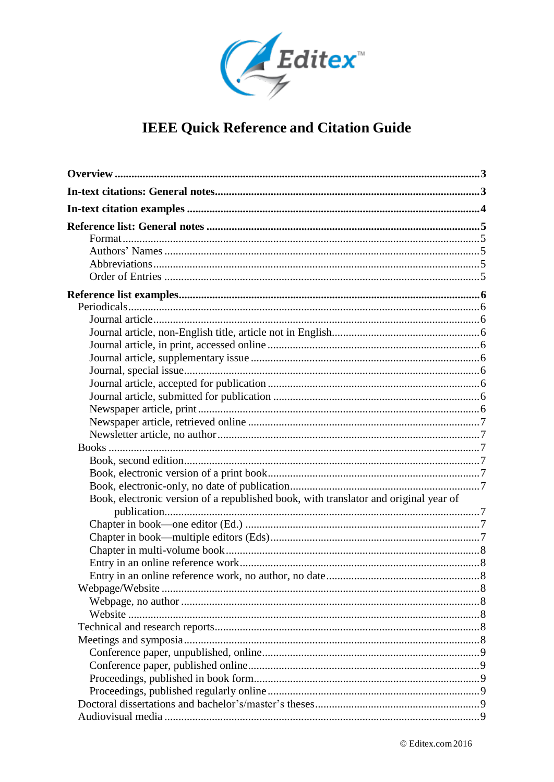

| Book, electronic version of a republished book, with translator and original year of |  |
|--------------------------------------------------------------------------------------|--|
|                                                                                      |  |
|                                                                                      |  |
|                                                                                      |  |
|                                                                                      |  |
|                                                                                      |  |
|                                                                                      |  |
|                                                                                      |  |
|                                                                                      |  |
|                                                                                      |  |
|                                                                                      |  |
|                                                                                      |  |
|                                                                                      |  |
|                                                                                      |  |
|                                                                                      |  |
|                                                                                      |  |
|                                                                                      |  |
|                                                                                      |  |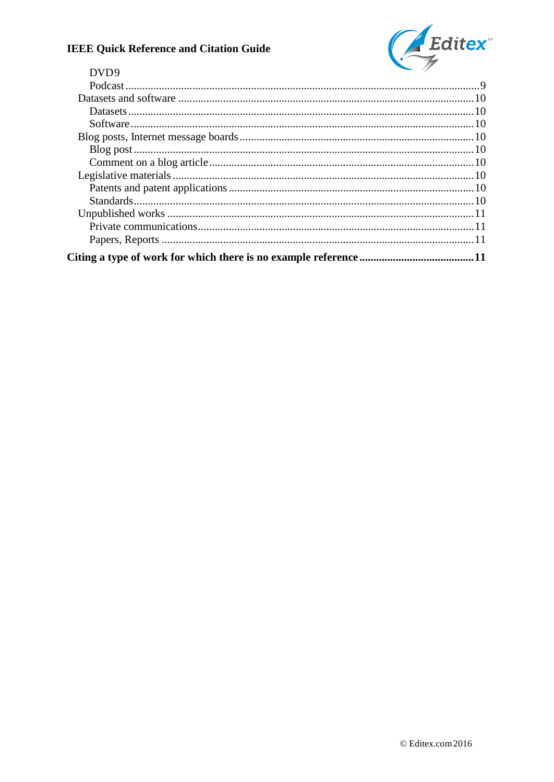

## DVD9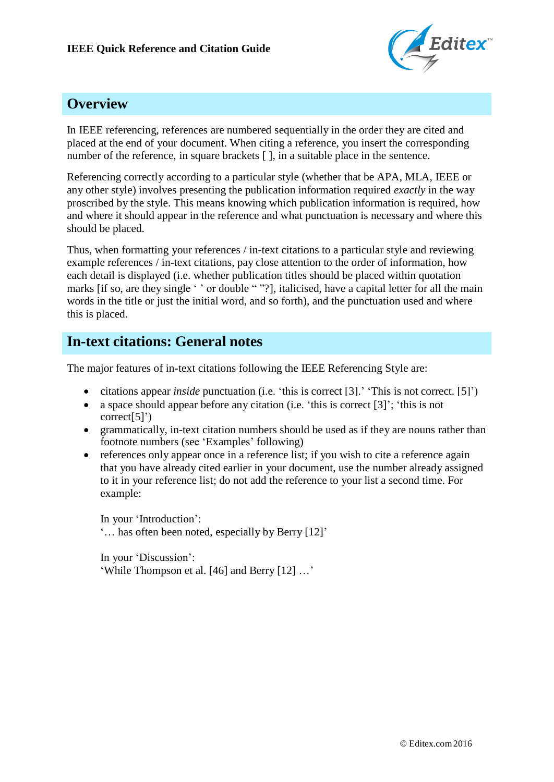

## **Overview**

In IEEE referencing, references are numbered sequentially in the order they are cited and placed at the end of your document. When citing a reference, you insert the corresponding number of the reference, in square brackets  $\lceil \cdot \rceil$ , in a suitable place in the sentence.

Referencing correctly according to a particular style (whether that be APA, MLA, IEEE or any other style) involves presenting the publication information required *exactly* in the way proscribed by the style. This means knowing which publication information is required, how and where it should appear in the reference and what punctuation is necessary and where this should be placed.

Thus, when formatting your references / in-text citations to a particular style and reviewing example references / in-text citations, pay close attention to the order of information, how each detail is displayed (i.e. whether publication titles should be placed within quotation marks [if so, are they single ' ' or double " "?], italicised, have a capital letter for all the main words in the title or just the initial word, and so forth), and the punctuation used and where this is placed.

## **In-text citations: General notes**

The major features of in-text citations following the IEEE Referencing Style are:

- citations appear *inside* punctuation (i.e. 'this is correct [3].' 'This is not correct. [5]')
- a space should appear before any citation (i.e. 'this is correct  $[3]'$ ; 'this is not correct[5]')
- grammatically, in-text citation numbers should be used as if they are nouns rather than footnote numbers (see 'Examples' following)
- references only appear once in a reference list; if you wish to cite a reference again that you have already cited earlier in your document, use the number already assigned to it in your reference list; do not add the reference to your list a second time. For example:

In your 'Introduction': '… has often been noted, especially by Berry [12]'

In your 'Discussion': 'While Thompson et al. [46] and Berry [12] …'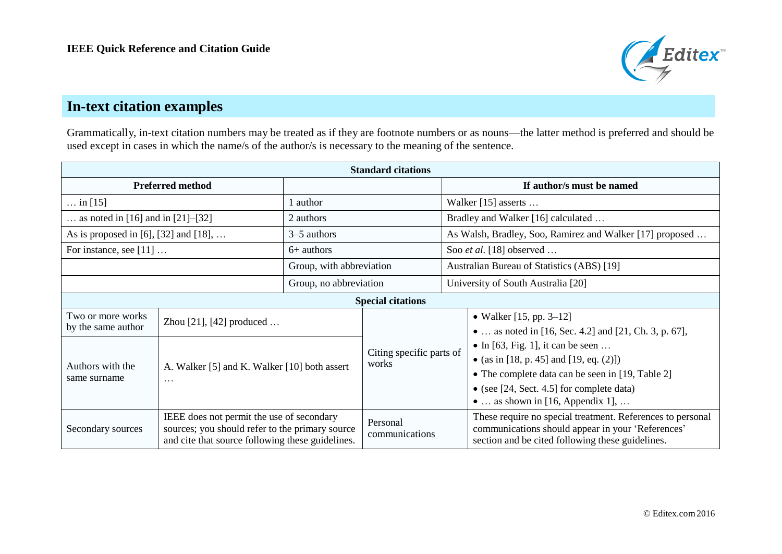

# **In-text citation examples**

Grammatically, in-text citation numbers may be treated as if they are footnote numbers or as nouns—the latter method is preferred and should be used except in cases in which the name/s of the author/s is necessary to the meaning of the sentence.

| <b>Standard citations</b>                 |                                                                                                                                                  |                          |                                   |                                                          |                                                                                                                                                                                                                               |  |  |  |
|-------------------------------------------|--------------------------------------------------------------------------------------------------------------------------------------------------|--------------------------|-----------------------------------|----------------------------------------------------------|-------------------------------------------------------------------------------------------------------------------------------------------------------------------------------------------------------------------------------|--|--|--|
| <b>Preferred method</b>                   |                                                                                                                                                  |                          |                                   |                                                          | If author/s must be named                                                                                                                                                                                                     |  |  |  |
| in [15]                                   |                                                                                                                                                  | l author                 |                                   |                                                          | Walker $[15]$ asserts                                                                                                                                                                                                         |  |  |  |
| as noted in $[16]$ and in $[21]$ – $[32]$ |                                                                                                                                                  | 2 authors                |                                   | Bradley and Walker [16] calculated                       |                                                                                                                                                                                                                               |  |  |  |
| As is proposed in [6], [32] and [18],     |                                                                                                                                                  | $3-5$ authors            |                                   | As Walsh, Bradley, Soo, Ramirez and Walker [17] proposed |                                                                                                                                                                                                                               |  |  |  |
| For instance, see $[11]$                  |                                                                                                                                                  | $6+$ authors             |                                   |                                                          | Soo et al. [18] observed                                                                                                                                                                                                      |  |  |  |
|                                           |                                                                                                                                                  | Group, with abbreviation |                                   |                                                          | Australian Bureau of Statistics (ABS) [19]                                                                                                                                                                                    |  |  |  |
|                                           |                                                                                                                                                  | Group, no abbreviation   |                                   |                                                          | University of South Australia [20]                                                                                                                                                                                            |  |  |  |
| <b>Special citations</b>                  |                                                                                                                                                  |                          |                                   |                                                          |                                                                                                                                                                                                                               |  |  |  |
| Two or more works<br>by the same author   | Zhou $[21]$ , $[42]$ produced                                                                                                                    |                          |                                   |                                                          | • Walker $[15, pp. 3-12]$<br>•  as noted in [16, Sec. 4.2] and [21, Ch. 3, p. 67],                                                                                                                                            |  |  |  |
| Authors with the<br>same surname          | A. Walker [5] and K. Walker [10] both assert<br>$\cdots$                                                                                         |                          | Citing specific parts of<br>works |                                                          | • In [63, Fig. 1], it can be seen<br>• (as in [18, p. 45] and [19, eq. $(2)$ ])<br>• The complete data can be seen in [19, Table 2]<br>• (see $[24, Sect. 4.5]$ for complete data)<br>$\bullet$ as shown in [16, Appendix 1], |  |  |  |
| Secondary sources                         | IEEE does not permit the use of secondary<br>sources; you should refer to the primary source<br>and cite that source following these guidelines. |                          | Personal<br>communications        |                                                          | These require no special treatment. References to personal<br>communications should appear in your 'References'<br>section and be cited following these guidelines.                                                           |  |  |  |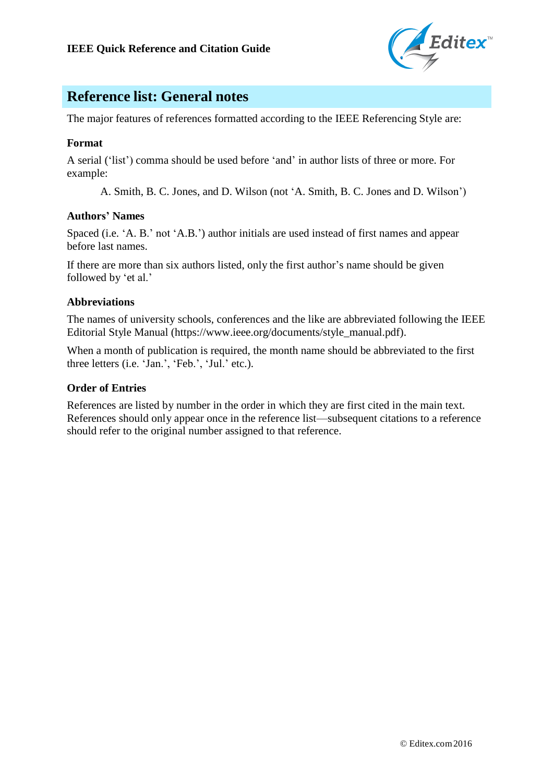

# **Reference list: General notes**

The major features of references formatted according to the IEEE Referencing Style are:

## **Format**

A serial ('list') comma should be used before 'and' in author lists of three or more. For example:

A. Smith, B. C. Jones, and D. Wilson (not 'A. Smith, B. C. Jones and D. Wilson')

#### **Authors' Names**

Spaced (i.e. 'A. B.' not 'A.B.') author initials are used instead of first names and appear before last names.

If there are more than six authors listed, only the first author's name should be given followed by 'et al.'

## **Abbreviations**

The names of university schools, conferences and the like are abbreviated following the IEEE Editorial Style Manual (https:[//www.ieee.org/documents/style\\_manual.pdf](http://www.ieee.org/documents/style_manual.pdf)).

When a month of publication is required, the month name should be abbreviated to the first three letters (i.e. 'Jan.', 'Feb.', 'Jul.' etc.).

### **Order of Entries**

References are listed by number in the order in which they are first cited in the main text. References should only appear once in the reference list—subsequent citations to a reference should refer to the original number assigned to that reference.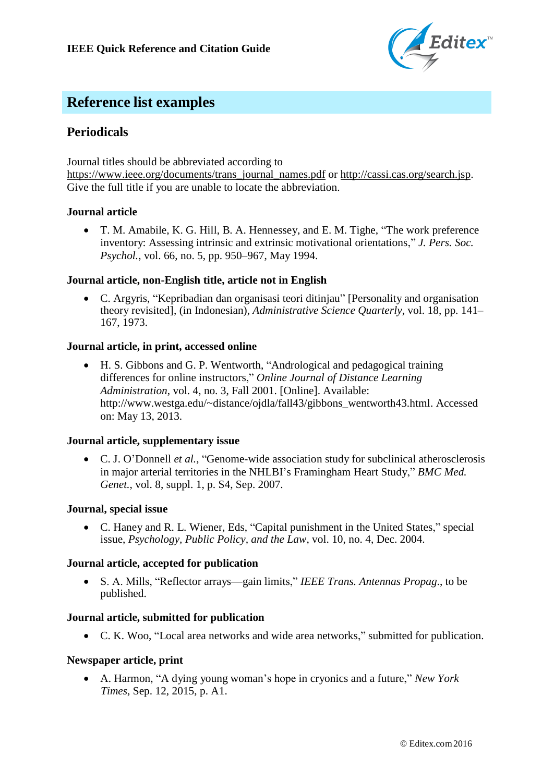

# **Reference list examples**

## **Periodicals**

Journal titles should be abbreviated according to

https:[//www.ieee.org/documents/trans\\_journal\\_names.pdf](http://www.ieee.org/documents/trans_journal_names.pdf) or <http://cassi.cas.org/search.jsp>. Give the full title if you are unable to locate the abbreviation.

## **Journal article**

 T. M. Amabile, K. G. Hill, B. A. Hennessey, and E. M. Tighe, "The work preference inventory: Assessing intrinsic and extrinsic motivational orientations," *J. Pers. Soc. Psychol.*, vol. 66, no. 5, pp. 950–967, May 1994.

## **Journal article, non-English title, article not in English**

 C. Argyris, "Kepribadian dan organisasi teori ditinjau" [Personality and organisation theory revisited], (in Indonesian), *Administrative Science Quarterly*, vol. 18, pp. 141– 167, 1973.

## **Journal article, in print, accessed online**

 H. S. Gibbons and G. P. Wentworth, "Andrological and pedagogical training differences for online instructors," *Online Journal of Distance Learning Administration*, vol. 4, no. 3, Fall 2001. [Online]. Available[:](http://www.westga.edu/~distance/ojdla/fall43/gibbons_wentworth43.html) [http://www.westga.edu/~distance/ojdla/fall43/gibbons\\_wentworth43.html](http://www.westga.edu/~distance/ojdla/fall43/gibbons_wentworth43.html). Accessed on: May 13, 2013.

#### **Journal article, supplementary issue**

 C. J. O'Donnell *et al.*, "Genome-wide association study for subclinical atherosclerosis in major arterial territories in the NHLBI's Framingham Heart Study," *BMC Med. Genet.*, vol. 8, suppl. 1, p. S4, Sep. 2007.

#### **Journal, special issue**

 C. Haney and R. L. Wiener, Eds, "Capital punishment in the United States," special issue, *Psychology, Public Policy, and the Law*, vol. 10, no. 4, Dec. 2004.

#### **Journal article, accepted for publication**

 S. A. Mills, "Reflector arrays—gain limits," *IEEE Trans. Antennas Propag*., to be published.

#### **Journal article, submitted for publication**

C. K. Woo, "Local area networks and wide area networks," submitted for publication.

#### **Newspaper article, print**

 A. Harmon, "A dying young woman's hope in cryonics and a future," *New York Times*, Sep. 12, 2015, p. A1.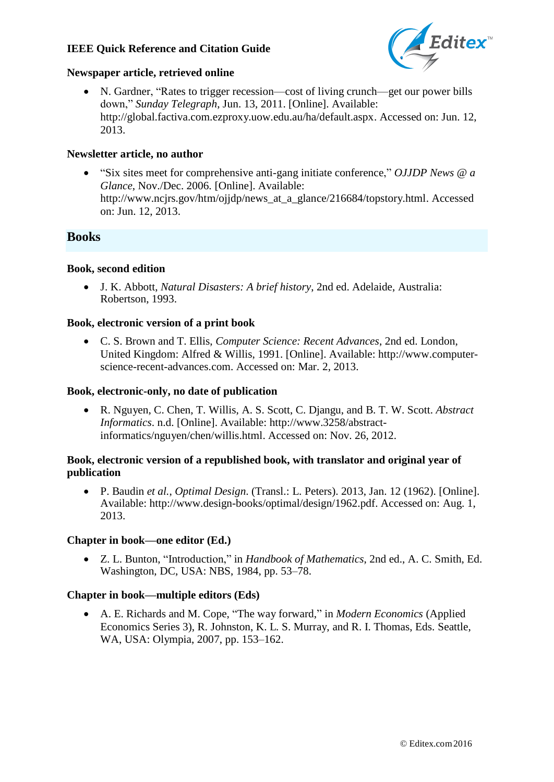

#### **Newspaper article, retrieved online**

 N. Gardner, "Rates to trigger recession—cost of living crunch—get our power bills down," *Sunday Telegraph*, Jun. 13, 2011. [Online]. Available[:](http://global.factiva.com.ezproxy.uow.edu.au/ha/default.aspx) <http://global.factiva.com.ezproxy.uow.edu.au/ha/default.aspx>. Accessed on: Jun. 12, 2013.

#### **Newsletter article, no author**

 "Six sites meet for comprehensive anti-gang initiate conference," *OJJDP News @ a Glance*, Nov./Dec. 2006. [Online]. Available[:](http://www.ncjrs.gov/htm/ojjdp/news_at_a_glance/216684/topstory.html) http://www.ncjrs.gov/htm/ojjdp/news at a glance/216684/topstory.html. Accessed on: Jun. 12, 2013.

## **Books**

#### **Book, second edition**

 J. K. Abbott, *Natural Disasters: A brief history*, 2nd ed. Adelaide, Australia: Robertson, 1993.

#### **Book, electronic version of a print book**

 C. S. Brown and T. Ellis, *Computer Science: Recent Advances*, 2nd ed. London, United Kingdom: Alfred & Willis, 1991. [Online]. Avail[able: http://www.computer](http://www.computer-/)science-recent-advances.com. Accessed on: Mar. 2, 2013.

#### **Book, electronic-only, no date of publication**

 R. Nguyen, C. Chen, T. Willis, A. S. Scott, C. Djangu, and B. T. W. Scott. *Abstract Informatics*. n.d. [Online]. Available: [http://www.3258/abstract](http://www.3258/abstract-)informatics/nguyen/chen/willis.html. Accessed on: Nov. 26, 2012.

#### **Book, electronic version of a republished book, with translator and original year of publication**

 P. Baudin *et al.*, *Optimal Design*. (Transl.: L. Peters). 2013, Jan. 12 (1962). [Online]. Avail[able: http://www.design-books/optimal/design/1962.pdf.](http://www.design-books/optimal/design/1962.pdf) Accessed on: Aug. 1, 2013.

#### **Chapter in book—one editor (Ed.)**

 Z. L. Bunton, "Introduction," in *Handbook of Mathematics*, 2nd ed., A. C. Smith, Ed. Washington, DC, USA: NBS, 1984, pp. 53–78.

#### **Chapter in book—multiple editors (Eds)**

 A. E. Richards and M. Cope, "The way forward," in *Modern Economics* (Applied Economics Series 3), R. Johnston, K. L. S. Murray, and R. I. Thomas, Eds. Seattle, WA, USA: Olympia, 2007, pp. 153–162.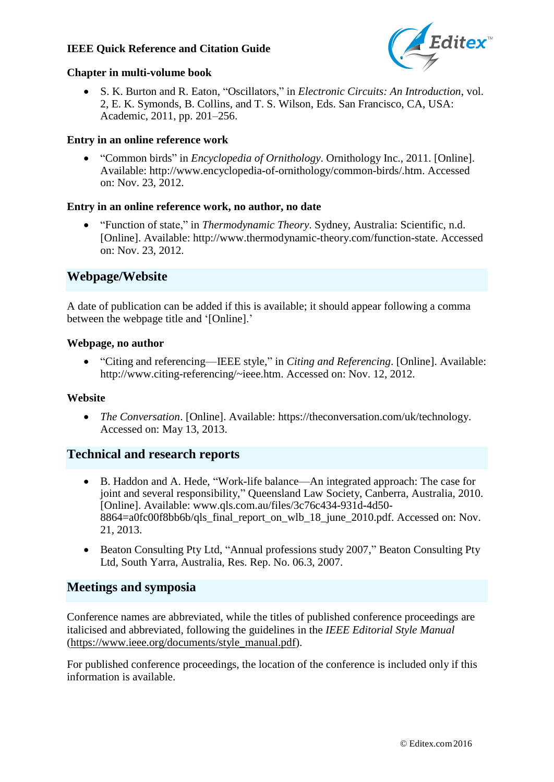

#### **Chapter in multi-volume book**

 S. K. Burton and R. Eaton, "Oscillators," in *Electronic Circuits: An Introduction*, vol. 2, E. K. Symonds, B. Collins, and T. S. Wilson, Eds. San Francisco, CA, USA: Academic, 2011, pp. 201–256.

## **Entry in an online reference work**

 "Common birds" in *Encyclopedia of Ornithology*. Ornithology Inc., 2011. [Online]. Avail[able: http://www.encyclopedia-of-ornithology/common-birds/.htm](http://www.encyclopedia-of-ornithology/common-birds/). Accessed on: Nov. 23, 2012.

## **Entry in an online reference work, no author, no date**

 "Function of state," in *Thermodynamic Theory*. Sydney, Australia: Scientific, n.d. [Online]. Avail[able: http://www.thermodynamic-theory.com/function-state.](http://www.thermodynamic-theory.com/function-state) Accessed on: Nov. 23, 2012.

## **Webpage/Website**

A date of publication can be added if this is available; it should appear following a comma between the webpage title and '[Online].'

### **Webpage, no author**

 "Citing and referencing—IEEE style," in *Citing and Referencing*. [Online]. Available: <http://www.citing-referencing/~ieee.htm>. Accessed on: Nov. 12, 2012.

#### **Website**

 *The Conversation*. [Online]. Available: https://theconversation.com/uk/technology. Accessed on: May 13, 2013.

## **Technical and research reports**

- B. Haddon and A. Hede, "Work-life balance—An integrated approach: The case for joint and several responsibility," Queensland Law Society, Canberra, Australia, 2010. [Online]. Available: [www.qls.com.au/files/3c76c434-931d-4d50-](http://www.qls.com.au/files/3c76c434-931d-4d50-) 8864=a0fc00f8bb6b/qls\_final\_report\_on\_wlb\_18\_june\_2010.pdf. Accessed on: Nov. 21, 2013.
- Beaton Consulting Pty Ltd, "Annual professions study 2007," Beaton Consulting Pty Ltd, South Yarra, Australia, Res. Rep. No. 06.3, 2007.

## **Meetings and symposia**

Conference names are abbreviated, while the titles of published conference proceedings are italicised and abbreviated, following the guidelines in the *IEEE Editorial Style Manual*  (https:[//www.ieee.org/documents/style\\_manual.pdf](http://www.ieee.org/documents/style_manual.pdf)).

For published conference proceedings, the location of the conference is included only if this information is available.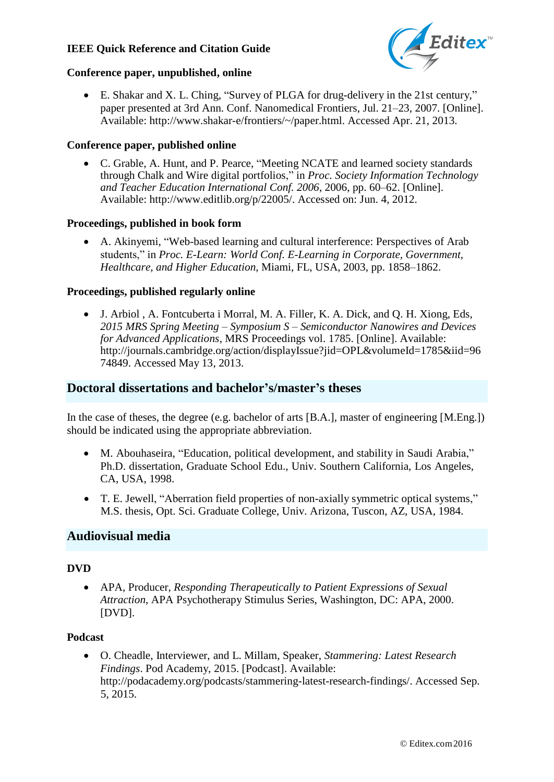

### **Conference paper, unpublished, online**

 E. Shakar and X. L. Ching, "Survey of PLGA for drug-delivery in the 21st century," paper presented at 3rd Ann. Conf. Nanomedical Frontiers, Jul. 21–23, 2007. [Online]. Avail[able: http://www.shakar-e/frontiers/~/paper.html.](http://www.shakar-e/frontiers/~/paper.html) Accessed Apr. 21, 2013.

## **Conference paper, published online**

 C. Grable, A. Hunt, and P. Pearce, "Meeting NCATE and learned society standards through Chalk and Wire digital portfolios," in *Proc. Society Information Technology and Teacher Education International Conf. 2006*, 2006, pp. 60–62. [Online]. Avail[able: http://www.editlib.org/p/22005/](http://www.editlib.org/p/22005/). Accessed on: Jun. 4, 2012.

## **Proceedings, published in book form**

 A. Akinyemi, "Web-based learning and cultural interference: Perspectives of Arab students," in *Proc. E-Learn: World Conf. E-Learning in Corporate, Government, Healthcare, and Higher Education*, Miami, FL, USA, 2003, pp. 1858–1862.

## **Proceedings, published regularly online**

 J. Arbiol , A. Fontcuberta i Morral, M. A. Filler, K. A. Dick, and Q. H. Xiong, Eds, *2015 MRS Spring Meeting – Symposium S – Semiconductor Nanowires and Devices for Advanced Applications*, MRS Proceedings vol. 1785. [Online]. Available[:](http://journals.cambridge.org/action/displayIssue) [http://journals.cambridge.org/action/displayIssue?](http://journals.cambridge.org/action/displayIssue)jid=OPL&volumeId=1785&iid=96 74849. Accessed May 13, 2013.

## **Doctoral dissertations and bachelor's/master's theses**

In the case of theses, the degree (e.g. bachelor of arts [B.A.], master of engineering [M.Eng.]) should be indicated using the appropriate abbreviation.

- M. Abouhaseira, "Education, political development, and stability in Saudi Arabia," Ph.D. dissertation, Graduate School Edu., Univ. Southern California, Los Angeles, CA, USA, 1998.
- T. E. Jewell, "Aberration field properties of non-axially symmetric optical systems," M.S. thesis, Opt. Sci. Graduate College, Univ. Arizona, Tuscon, AZ, USA, 1984.

## **Audiovisual media**

#### **DVD**

 APA, Producer, *Responding Therapeutically to Patient Expressions of Sexual Attraction*, APA Psychotherapy Stimulus Series, Washington, DC: APA, 2000. [DVD].

#### **Podcast**

 O. Cheadle, Interviewer, and L. Millam, Speaker, *Stammering: Latest Research Findings*. Pod Academy, 2015. [Podcast]. Available[:](http://podacademy.org/podcasts/stammering-latest-research-findings/) <http://podacademy.org/podcasts/stammering-latest-research-findings/>. Accessed Sep. 5, 2015.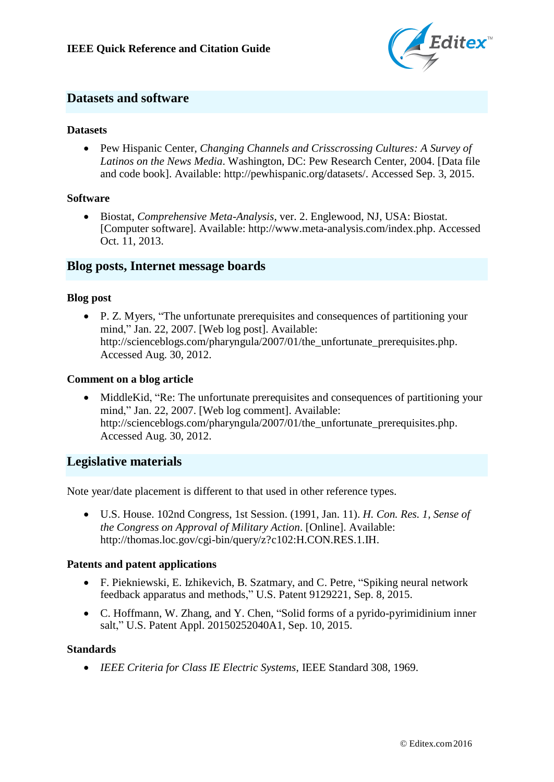

## **Datasets and software**

#### **Datasets**

 Pew Hispanic Center, *Changing Channels and Crisscrossing Cultures: A Survey of Latinos on the News Media*. Washington, DC: Pew Research Center, 2004. [Data file and code book]. Available: <http://pewhispanic.org/datasets/>. Accessed Sep. 3, 2015.

#### **Software**

 Biostat, *Comprehensive Meta-Analysis*, ver. 2. Englewood, NJ, USA: Biostat. [Computer software]. Avail[able: http://www.meta-analysis.com/index.php](http://www.meta-analysis.com/index.php). Accessed Oct. 11, 2013.

## **Blog posts, Internet message boards**

#### **Blog post**

 P. Z. Myers, "The unfortunate prerequisites and consequences of partitioning your mind," Jan. 22, 2007. [Web log post]. Available[:](http://scienceblogs.com/pharyngula/2007/01/the_unfortunate_prerequisites.php) [http://scienceblogs.com/pharyngula/2007/01/the\\_unfortunate\\_prerequisites.php](http://scienceblogs.com/pharyngula/2007/01/the_unfortunate_prerequisites.php). Accessed Aug. 30, 2012.

#### **Comment on a blog article**

 MiddleKid, "Re: The unfortunate prerequisites and consequences of partitioning your mind," Jan. 22, 2007. [Web log comment]. Available[:](http://scienceblogs.com/pharyngula/2007/01/the_unfortunate_prerequisites.php) [http://scienceblogs.com/pharyngula/2007/01/the\\_unfortunate\\_prerequisites.php](http://scienceblogs.com/pharyngula/2007/01/the_unfortunate_prerequisites.php). Accessed Aug. 30, 2012.

## **Legislative materials**

Note year/date placement is different to that used in other reference types.

 U.S. House. 102nd Congress, 1st Session. (1991, Jan. 11). *H. Con. Res. 1, Sense of the Congress on Approval of Military Action*. [Online]. Available[:](http://thomas.loc.gov/cgi-bin/query/z) <http://thomas.loc.gov/cgi-bin/query/z>?c102:H.CON.RES.1.IH.

#### **Patents and patent applications**

- F. Piekniewski, E. Izhikevich, B. Szatmary, and C. Petre, "Spiking neural network feedback apparatus and methods," U.S. Patent 9129221, Sep. 8, 2015.
- C. Hoffmann, W. Zhang, and Y. Chen, "Solid forms of a pyrido-pyrimidinium inner salt," U.S. Patent Appl. 20150252040A1, Sep. 10, 2015.

#### **Standards**

*IEEE Criteria for Class IE Electric Systems*, IEEE Standard 308, 1969.